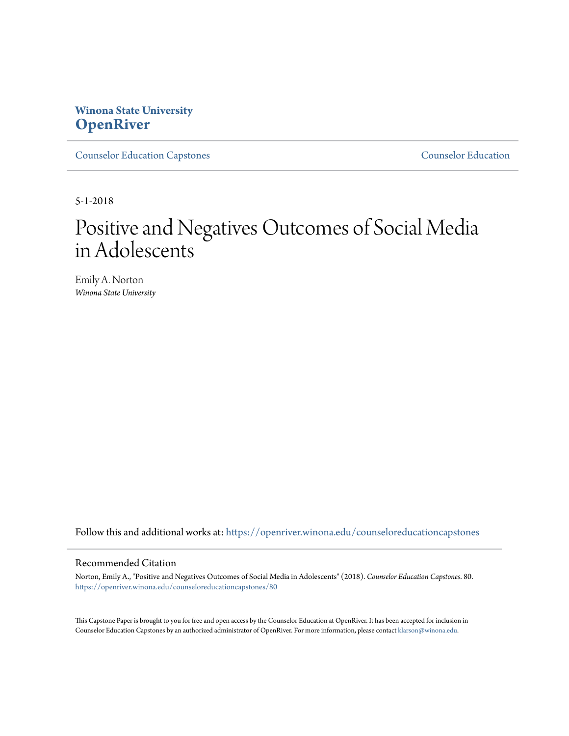# **Winona State University [OpenRiver](https://openriver.winona.edu?utm_source=openriver.winona.edu%2Fcounseloreducationcapstones%2F80&utm_medium=PDF&utm_campaign=PDFCoverPages)**

[Counselor Education Capstones](https://openriver.winona.edu/counseloreducationcapstones?utm_source=openriver.winona.edu%2Fcounseloreducationcapstones%2F80&utm_medium=PDF&utm_campaign=PDFCoverPages) [Counselor Education](https://openriver.winona.edu/counseloreducation?utm_source=openriver.winona.edu%2Fcounseloreducationcapstones%2F80&utm_medium=PDF&utm_campaign=PDFCoverPages)

5-1-2018

# Positive and Negatives Outcomes of Social Media in Adolescents

Emily A. Norton *Winona State University*

Follow this and additional works at: [https://openriver.winona.edu/counseloreducationcapstones](https://openriver.winona.edu/counseloreducationcapstones?utm_source=openriver.winona.edu%2Fcounseloreducationcapstones%2F80&utm_medium=PDF&utm_campaign=PDFCoverPages)

#### Recommended Citation

Norton, Emily A., "Positive and Negatives Outcomes of Social Media in Adolescents" (2018). *Counselor Education Capstones*. 80. [https://openriver.winona.edu/counseloreducationcapstones/80](https://openriver.winona.edu/counseloreducationcapstones/80?utm_source=openriver.winona.edu%2Fcounseloreducationcapstones%2F80&utm_medium=PDF&utm_campaign=PDFCoverPages)

This Capstone Paper is brought to you for free and open access by the Counselor Education at OpenRiver. It has been accepted for inclusion in Counselor Education Capstones by an authorized administrator of OpenRiver. For more information, please contact [klarson@winona.edu](mailto:klarson@winona.edu).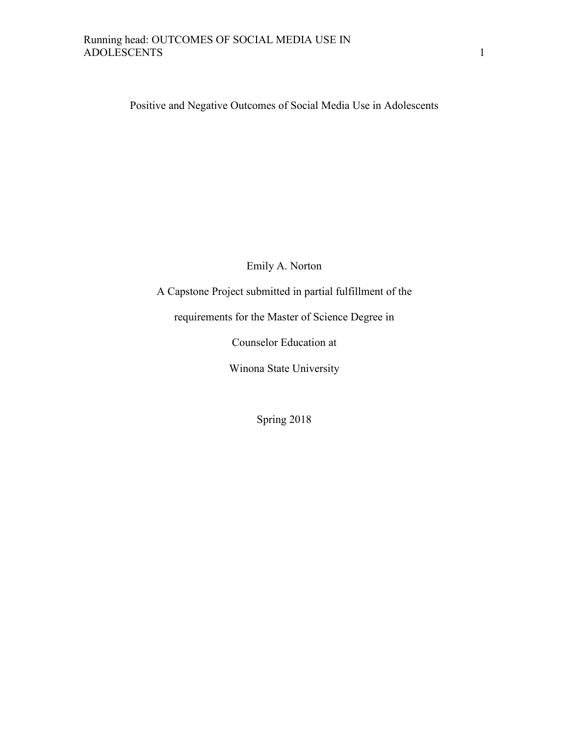Positive and Negative Outcomes of Social Media Use in Adolescents

Emily A. Norton

A Capstone Project submitted in partial fulfillment of the

requirements for the Master of Science Degree in

Counselor Education at

Winona State University

Spring 2018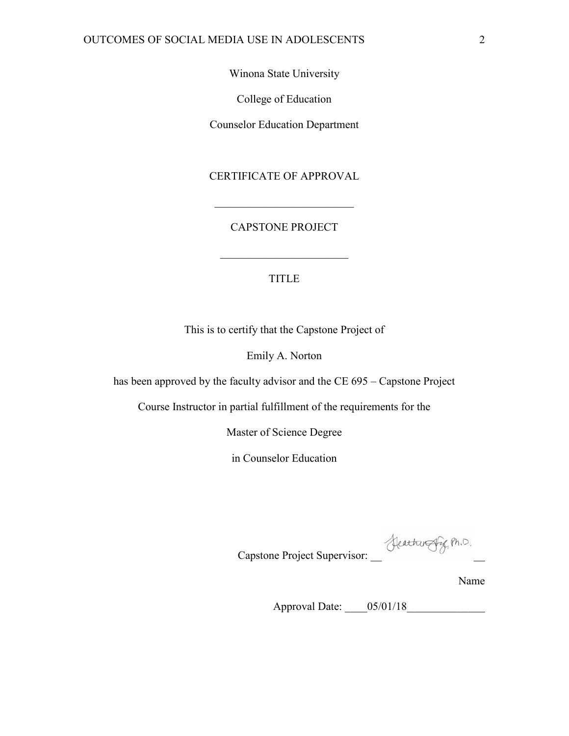Winona State University

College of Education

Counselor Education Department

CERTIFICATE OF APPROVAL

CAPSTONE PROJECT

 $\mathcal{L}_\text{max}$  , where  $\mathcal{L}_\text{max}$  , we are the set of the set of the set of the set of the set of the set of the set of the set of the set of the set of the set of the set of the set of the set of the set of the set of

# TITLE

 $\mathcal{L}_\text{max}$  , where  $\mathcal{L}_\text{max}$  , we have the set of  $\mathcal{L}_\text{max}$ 

This is to certify that the Capstone Project of

Emily A. Norton

has been approved by the faculty advisor and the CE 695 – Capstone Project

Course Instructor in partial fulfillment of the requirements for the

Master of Science Degree

in Counselor Education

Capstone Project Supervisor: \_\_ Leathwere Pig, Ph.D.

Name

Approval Date: \_\_\_\_05/01/18\_\_\_\_\_\_\_\_\_\_\_\_\_\_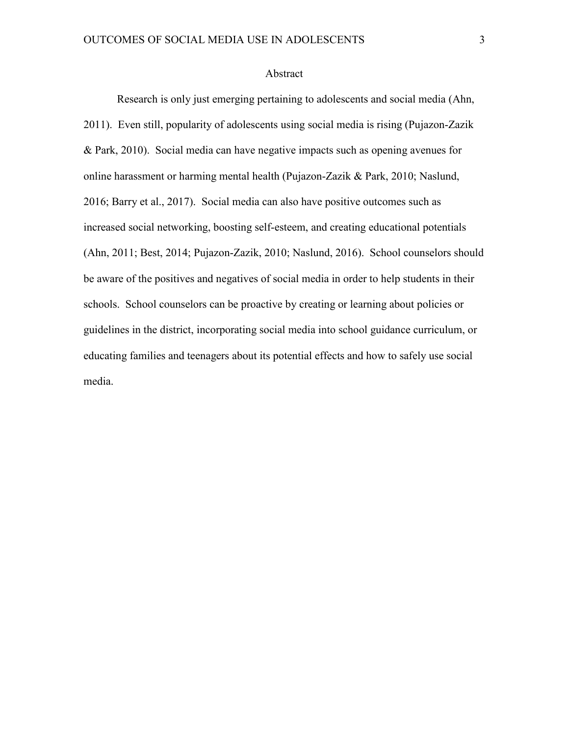#### Abstract

 Research is only just emerging pertaining to adolescents and social media (Ahn, 2011). Even still, popularity of adolescents using social media is rising (Pujazon-Zazik & Park, 2010). Social media can have negative impacts such as opening avenues for online harassment or harming mental health (Pujazon-Zazik & Park, 2010; Naslund, 2016; Barry et al., 2017). Social media can also have positive outcomes such as increased social networking, boosting self-esteem, and creating educational potentials (Ahn, 2011; Best, 2014; Pujazon-Zazik, 2010; Naslund, 2016). School counselors should be aware of the positives and negatives of social media in order to help students in their schools. School counselors can be proactive by creating or learning about policies or guidelines in the district, incorporating social media into school guidance curriculum, or educating families and teenagers about its potential effects and how to safely use social media.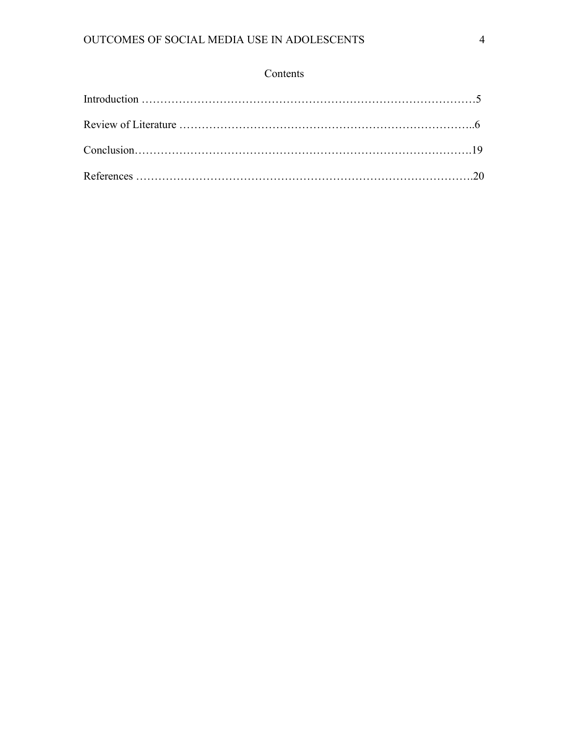# Contents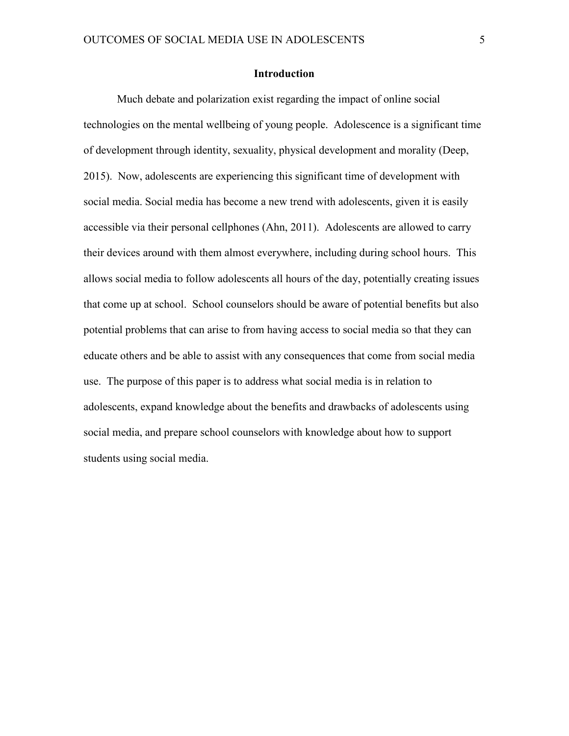# **Introduction**

Much debate and polarization exist regarding the impact of online social technologies on the mental wellbeing of young people. Adolescence is a significant time of development through identity, sexuality, physical development and morality (Deep, 2015). Now, adolescents are experiencing this significant time of development with social media. Social media has become a new trend with adolescents, given it is easily accessible via their personal cellphones (Ahn, 2011). Adolescents are allowed to carry their devices around with them almost everywhere, including during school hours. This allows social media to follow adolescents all hours of the day, potentially creating issues that come up at school. School counselors should be aware of potential benefits but also potential problems that can arise to from having access to social media so that they can educate others and be able to assist with any consequences that come from social media use. The purpose of this paper is to address what social media is in relation to adolescents, expand knowledge about the benefits and drawbacks of adolescents using social media, and prepare school counselors with knowledge about how to support students using social media.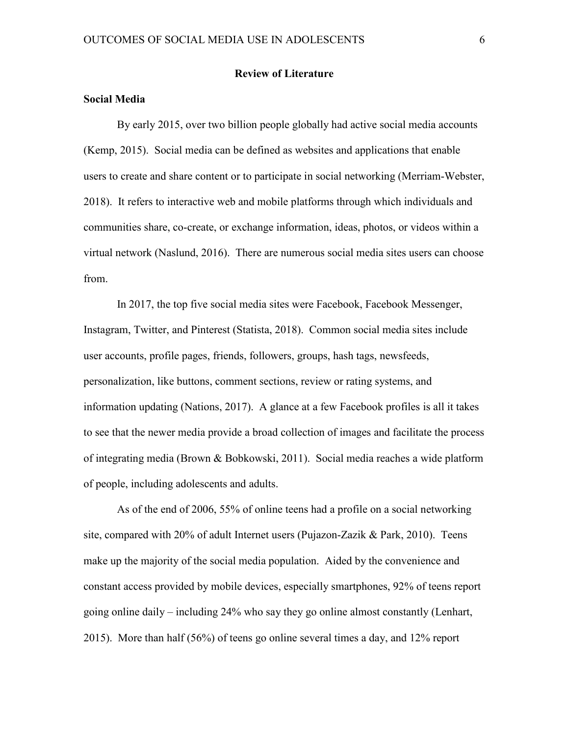## **Review of Literature**

# **Social Media**

By early 2015, over two billion people globally had active social media accounts (Kemp, 2015). Social media can be defined as websites and applications that enable users to create and share content or to participate in social networking (Merriam-Webster, 2018). It refers to interactive web and mobile platforms through which individuals and communities share, co-create, or exchange information, ideas, photos, or videos within a virtual network (Naslund, 2016). There are numerous social media sites users can choose from.

In 2017, the top five social media sites were Facebook, Facebook Messenger, Instagram, Twitter, and Pinterest (Statista, 2018). Common social media sites include user accounts, profile pages, friends, followers, groups, hash tags, newsfeeds, personalization, like buttons, comment sections, review or rating systems, and information updating (Nations, 2017). A glance at a few Facebook profiles is all it takes to see that the newer media provide a broad collection of images and facilitate the process of integrating media (Brown & Bobkowski, 2011). Social media reaches a wide platform of people, including adolescents and adults.

As of the end of 2006, 55% of online teens had a profile on a social networking site, compared with 20% of adult Internet users (Pujazon-Zazik & Park, 2010). Teens make up the majority of the social media population. Aided by the convenience and constant access provided by mobile devices, especially smartphones, 92% of teens report going online daily – including 24% who say they go online almost constantly (Lenhart, 2015). More than half (56%) of teens go online several times a day, and 12% report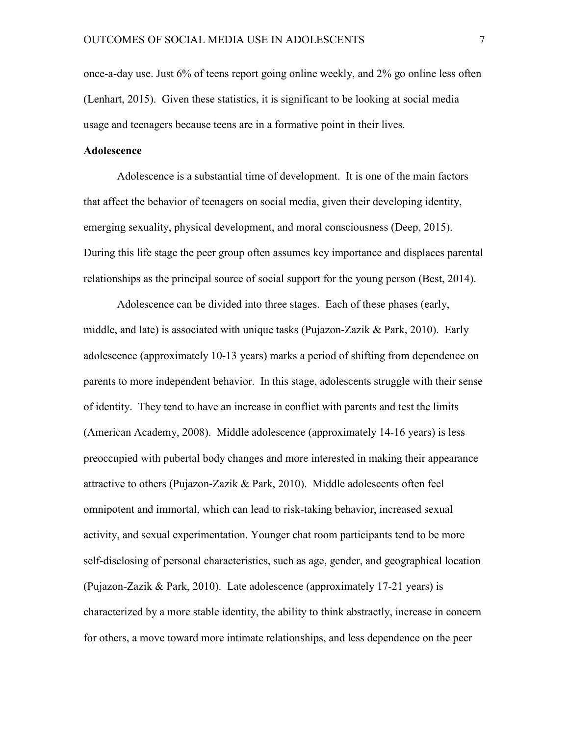once-a-day use. Just 6% of teens report going online weekly, and 2% go online less often (Lenhart, 2015). Given these statistics, it is significant to be looking at social media usage and teenagers because teens are in a formative point in their lives.

# **Adolescence**

Adolescence is a substantial time of development. It is one of the main factors that affect the behavior of teenagers on social media, given their developing identity, emerging sexuality, physical development, and moral consciousness (Deep, 2015). During this life stage the peer group often assumes key importance and displaces parental relationships as the principal source of social support for the young person (Best, 2014).

Adolescence can be divided into three stages. Each of these phases (early, middle, and late) is associated with unique tasks (Pujazon-Zazik & Park, 2010). Early adolescence (approximately 10-13 years) marks a period of shifting from dependence on parents to more independent behavior. In this stage, adolescents struggle with their sense of identity. They tend to have an increase in conflict with parents and test the limits (American Academy, 2008). Middle adolescence (approximately 14-16 years) is less preoccupied with pubertal body changes and more interested in making their appearance attractive to others (Pujazon-Zazik & Park, 2010). Middle adolescents often feel omnipotent and immortal, which can lead to risk-taking behavior, increased sexual activity, and sexual experimentation. Younger chat room participants tend to be more self-disclosing of personal characteristics, such as age, gender, and geographical location (Pujazon-Zazik  $&$  Park, 2010). Late adolescence (approximately 17-21 years) is characterized by a more stable identity, the ability to think abstractly, increase in concern for others, a move toward more intimate relationships, and less dependence on the peer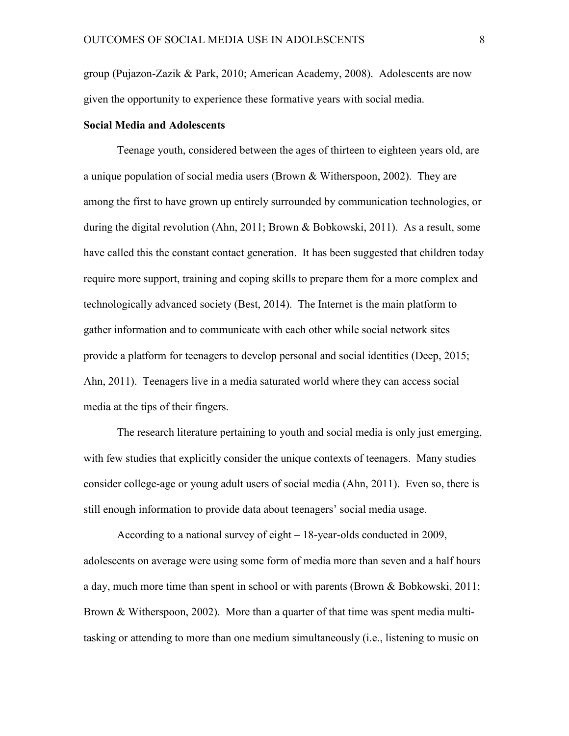group (Pujazon-Zazik & Park, 2010; American Academy, 2008). Adolescents are now given the opportunity to experience these formative years with social media.

# **Social Media and Adolescents**

Teenage youth, considered between the ages of thirteen to eighteen years old, are a unique population of social media users (Brown & Witherspoon, 2002). They are among the first to have grown up entirely surrounded by communication technologies, or during the digital revolution (Ahn, 2011; Brown & Bobkowski, 2011). As a result, some have called this the constant contact generation. It has been suggested that children today require more support, training and coping skills to prepare them for a more complex and technologically advanced society (Best, 2014). The Internet is the main platform to gather information and to communicate with each other while social network sites provide a platform for teenagers to develop personal and social identities (Deep, 2015; Ahn, 2011). Teenagers live in a media saturated world where they can access social media at the tips of their fingers.

The research literature pertaining to youth and social media is only just emerging, with few studies that explicitly consider the unique contexts of teenagers. Many studies consider college-age or young adult users of social media (Ahn, 2011). Even so, there is still enough information to provide data about teenagers' social media usage.

According to a national survey of eight – 18-year-olds conducted in 2009, adolescents on average were using some form of media more than seven and a half hours a day, much more time than spent in school or with parents (Brown & Bobkowski, 2011; Brown & Witherspoon, 2002). More than a quarter of that time was spent media multitasking or attending to more than one medium simultaneously (i.e., listening to music on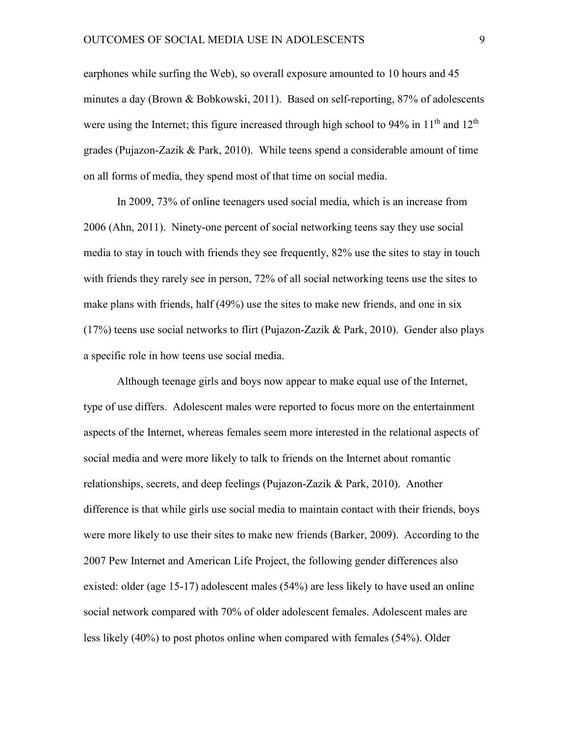earphones while surfing the Web), so overall exposure amounted to 10 hours and 45 minutes a day (Brown & Bobkowski, 2011). Based on self-reporting, 87% of adolescents were using the Internet; this figure increased through high school to  $94\%$  in  $11<sup>th</sup>$  and  $12<sup>th</sup>$ grades (Pujazon-Zazik & Park, 2010). While teens spend a considerable amount of time on all forms of media, they spend most of that time on social media.

In 2009, 73% of online teenagers used social media, which is an increase from 2006 (Ahn, 2011). Ninety-one percent of social networking teens say they use social media to stay in touch with friends they see frequently, 82% use the sites to stay in touch with friends they rarely see in person, 72% of all social networking teens use the sites to make plans with friends, half (49%) use the sites to make new friends, and one in six (17%) teens use social networks to flirt (Pujazon-Zazik & Park, 2010). Gender also plays a specific role in how teens use social media.

Although teenage girls and boys now appear to make equal use of the Internet, type of use differs. Adolescent males were reported to focus more on the entertainment aspects of the Internet, whereas females seem more interested in the relational aspects of social media and were more likely to talk to friends on the Internet about romantic relationships, secrets, and deep feelings (Pujazon-Zazik & Park, 2010). Another difference is that while girls use social media to maintain contact with their friends, boys were more likely to use their sites to make new friends (Barker, 2009). According to the 2007 Pew Internet and American Life Project, the following gender differences also existed: older (age 15-17) adolescent males (54%) are less likely to have used an online social network compared with 70% of older adolescent females. Adolescent males are less likely (40%) to post photos online when compared with females (54%). Older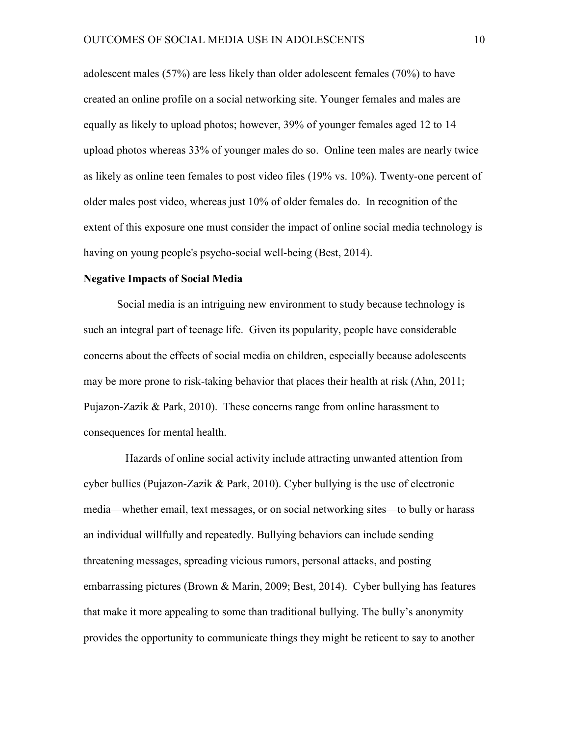adolescent males (57%) are less likely than older adolescent females (70%) to have created an online profile on a social networking site. Younger females and males are equally as likely to upload photos; however, 39% of younger females aged 12 to 14 upload photos whereas 33% of younger males do so. Online teen males are nearly twice as likely as online teen females to post video files (19% vs. 10%). Twenty-one percent of older males post video, whereas just 10% of older females do. In recognition of the extent of this exposure one must consider the impact of online social media technology is having on young people's psycho-social well-being (Best, 2014).

## **Negative Impacts of Social Media**

Social media is an intriguing new environment to study because technology is such an integral part of teenage life. Given its popularity, people have considerable concerns about the effects of social media on children, especially because adolescents may be more prone to risk-taking behavior that places their health at risk (Ahn, 2011; Pujazon-Zazik & Park, 2010). These concerns range from online harassment to consequences for mental health.

 Hazards of online social activity include attracting unwanted attention from cyber bullies (Pujazon-Zazik & Park, 2010). Cyber bullying is the use of electronic media—whether email, text messages, or on social networking sites—to bully or harass an individual willfully and repeatedly. Bullying behaviors can include sending threatening messages, spreading vicious rumors, personal attacks, and posting embarrassing pictures (Brown  $\&$  Marin, 2009; Best, 2014). Cyber bullying has features that make it more appealing to some than traditional bullying. The bully's anonymity provides the opportunity to communicate things they might be reticent to say to another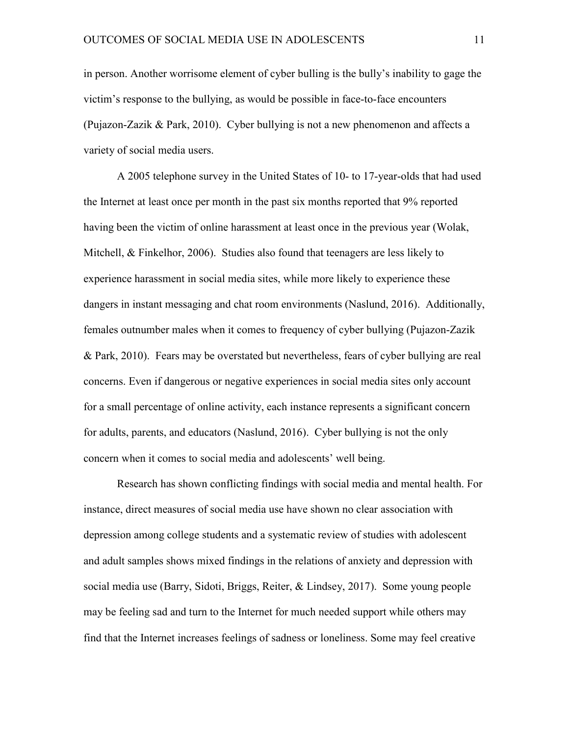in person. Another worrisome element of cyber bulling is the bully's inability to gage the victim's response to the bullying, as would be possible in face-to-face encounters (Pujazon-Zazik & Park, 2010). Cyber bullying is not a new phenomenon and affects a variety of social media users.

A 2005 telephone survey in the United States of 10- to 17-year-olds that had used the Internet at least once per month in the past six months reported that 9% reported having been the victim of online harassment at least once in the previous year (Wolak, Mitchell, & Finkelhor, 2006). Studies also found that teenagers are less likely to experience harassment in social media sites, while more likely to experience these dangers in instant messaging and chat room environments (Naslund, 2016). Additionally, females outnumber males when it comes to frequency of cyber bullying (Pujazon-Zazik & Park, 2010). Fears may be overstated but nevertheless, fears of cyber bullying are real concerns. Even if dangerous or negative experiences in social media sites only account for a small percentage of online activity, each instance represents a significant concern for adults, parents, and educators (Naslund, 2016). Cyber bullying is not the only concern when it comes to social media and adolescents' well being.

 Research has shown conflicting findings with social media and mental health. For instance, direct measures of social media use have shown no clear association with depression among college students and a systematic review of studies with adolescent and adult samples shows mixed findings in the relations of anxiety and depression with social media use (Barry, Sidoti, Briggs, Reiter, & Lindsey, 2017). Some young people may be feeling sad and turn to the Internet for much needed support while others may find that the Internet increases feelings of sadness or loneliness. Some may feel creative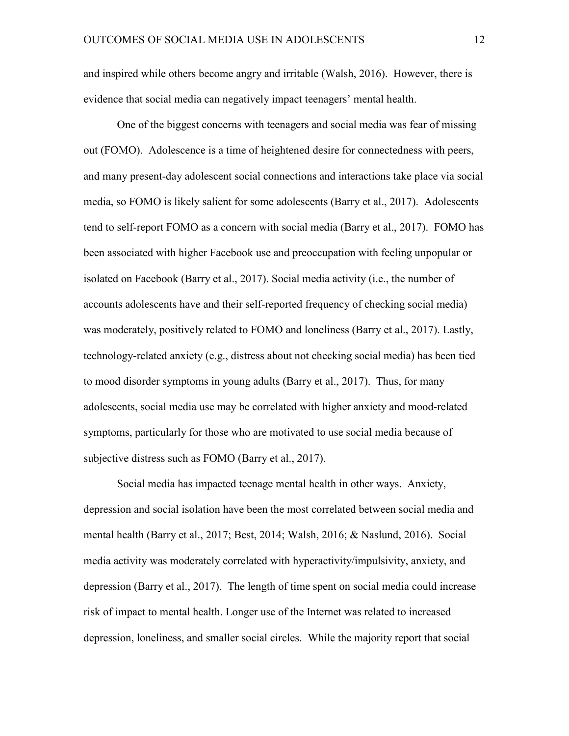and inspired while others become angry and irritable (Walsh, 2016). However, there is evidence that social media can negatively impact teenagers' mental health.

 One of the biggest concerns with teenagers and social media was fear of missing out (FOMO). Adolescence is a time of heightened desire for connectedness with peers, and many present-day adolescent social connections and interactions take place via social media, so FOMO is likely salient for some adolescents (Barry et al., 2017). Adolescents tend to self-report FOMO as a concern with social media (Barry et al., 2017). FOMO has been associated with higher Facebook use and preoccupation with feeling unpopular or isolated on Facebook (Barry et al., 2017). Social media activity (i.e., the number of accounts adolescents have and their self-reported frequency of checking social media) was moderately, positively related to FOMO and loneliness (Barry et al., 2017). Lastly, technology-related anxiety (e.g., distress about not checking social media) has been tied to mood disorder symptoms in young adults (Barry et al., 2017). Thus, for many adolescents, social media use may be correlated with higher anxiety and mood-related symptoms, particularly for those who are motivated to use social media because of subjective distress such as FOMO (Barry et al., 2017).

 Social media has impacted teenage mental health in other ways. Anxiety, depression and social isolation have been the most correlated between social media and mental health (Barry et al., 2017; Best, 2014; Walsh, 2016; & Naslund, 2016). Social media activity was moderately correlated with hyperactivity/impulsivity, anxiety, and depression (Barry et al., 2017). The length of time spent on social media could increase risk of impact to mental health. Longer use of the Internet was related to increased depression, loneliness, and smaller social circles. While the majority report that social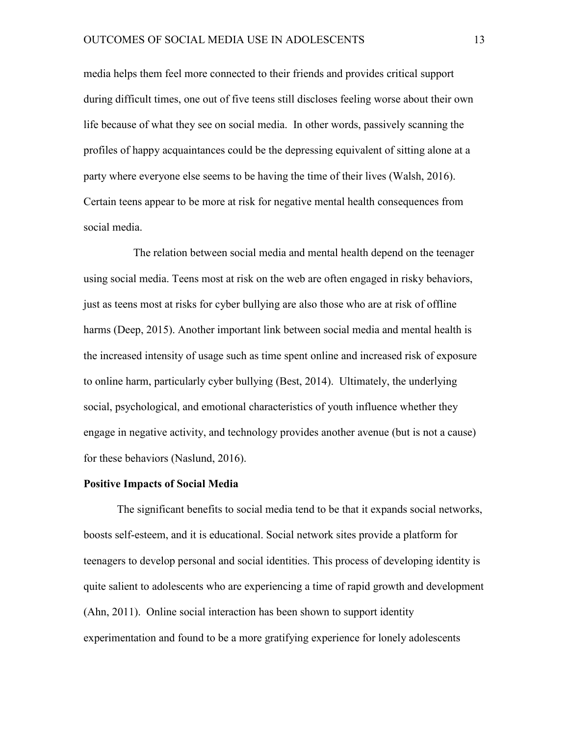media helps them feel more connected to their friends and provides critical support during difficult times, one out of five teens still discloses feeling worse about their own life because of what they see on social media. In other words, passively scanning the profiles of happy acquaintances could be the depressing equivalent of sitting alone at a party where everyone else seems to be having the time of their lives (Walsh, 2016). Certain teens appear to be more at risk for negative mental health consequences from social media.

 The relation between social media and mental health depend on the teenager using social media. Teens most at risk on the web are often engaged in risky behaviors, just as teens most at risks for cyber bullying are also those who are at risk of offline harms (Deep, 2015). Another important link between social media and mental health is the increased intensity of usage such as time spent online and increased risk of exposure to online harm, particularly cyber bullying (Best, 2014). Ultimately, the underlying social, psychological, and emotional characteristics of youth influence whether they engage in negative activity, and technology provides another avenue (but is not a cause) for these behaviors (Naslund, 2016).

## **Positive Impacts of Social Media**

The significant benefits to social media tend to be that it expands social networks, boosts self-esteem, and it is educational. Social network sites provide a platform for teenagers to develop personal and social identities. This process of developing identity is quite salient to adolescents who are experiencing a time of rapid growth and development (Ahn, 2011). Online social interaction has been shown to support identity experimentation and found to be a more gratifying experience for lonely adolescents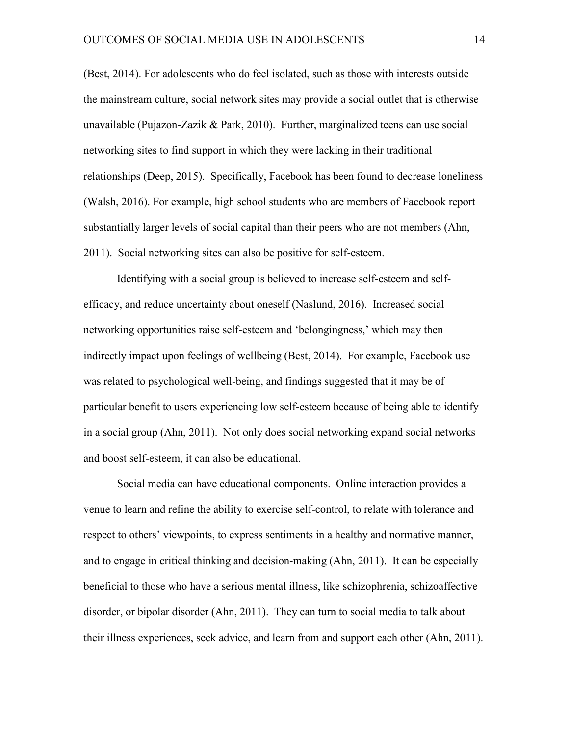(Best, 2014). For adolescents who do feel isolated, such as those with interests outside the mainstream culture, social network sites may provide a social outlet that is otherwise unavailable (Pujazon-Zazik & Park, 2010). Further, marginalized teens can use social networking sites to find support in which they were lacking in their traditional relationships (Deep, 2015). Specifically, Facebook has been found to decrease loneliness (Walsh, 2016). For example, high school students who are members of Facebook report substantially larger levels of social capital than their peers who are not members (Ahn, 2011). Social networking sites can also be positive for self-esteem.

Identifying with a social group is believed to increase self-esteem and selfefficacy, and reduce uncertainty about oneself (Naslund, 2016). Increased social networking opportunities raise self-esteem and 'belongingness,' which may then indirectly impact upon feelings of wellbeing (Best, 2014). For example, Facebook use was related to psychological well-being, and findings suggested that it may be of particular benefit to users experiencing low self-esteem because of being able to identify in a social group (Ahn, 2011). Not only does social networking expand social networks and boost self-esteem, it can also be educational.

Social media can have educational components. Online interaction provides a venue to learn and refine the ability to exercise self-control, to relate with tolerance and respect to others' viewpoints, to express sentiments in a healthy and normative manner, and to engage in critical thinking and decision-making (Ahn, 2011). It can be especially beneficial to those who have a serious mental illness, like schizophrenia, schizoaffective disorder, or bipolar disorder (Ahn, 2011). They can turn to social media to talk about their illness experiences, seek advice, and learn from and support each other (Ahn, 2011).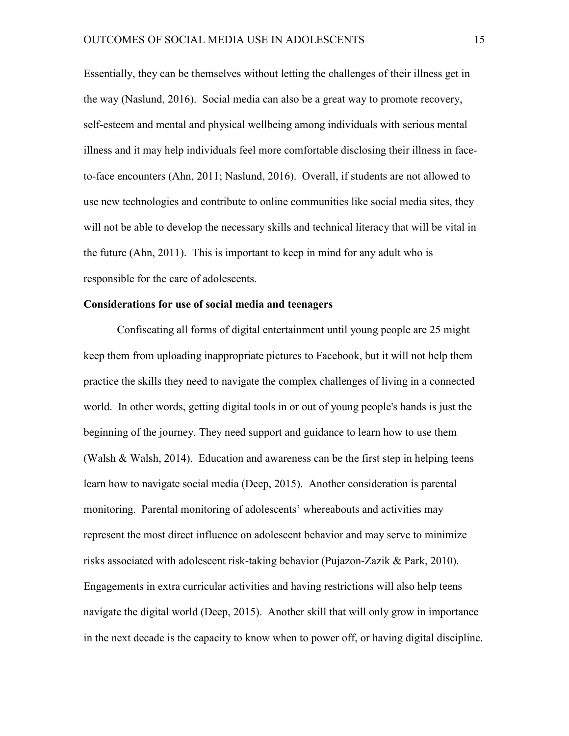Essentially, they can be themselves without letting the challenges of their illness get in the way (Naslund, 2016). Social media can also be a great way to promote recovery, self-esteem and mental and physical wellbeing among individuals with serious mental illness and it may help individuals feel more comfortable disclosing their illness in faceto-face encounters (Ahn, 2011; Naslund, 2016). Overall, if students are not allowed to use new technologies and contribute to online communities like social media sites, they will not be able to develop the necessary skills and technical literacy that will be vital in the future (Ahn, 2011). This is important to keep in mind for any adult who is responsible for the care of adolescents.

# **Considerations for use of social media and teenagers**

Confiscating all forms of digital entertainment until young people are 25 might keep them from uploading inappropriate pictures to Facebook, but it will not help them practice the skills they need to navigate the complex challenges of living in a connected world. In other words, getting digital tools in or out of young people's hands is just the beginning of the journey. They need support and guidance to learn how to use them (Walsh & Walsh, 2014). Education and awareness can be the first step in helping teens learn how to navigate social media (Deep, 2015). Another consideration is parental monitoring. Parental monitoring of adolescents' whereabouts and activities may represent the most direct influence on adolescent behavior and may serve to minimize risks associated with adolescent risk-taking behavior (Pujazon-Zazik & Park, 2010). Engagements in extra curricular activities and having restrictions will also help teens navigate the digital world (Deep, 2015). Another skill that will only grow in importance in the next decade is the capacity to know when to power off, or having digital discipline.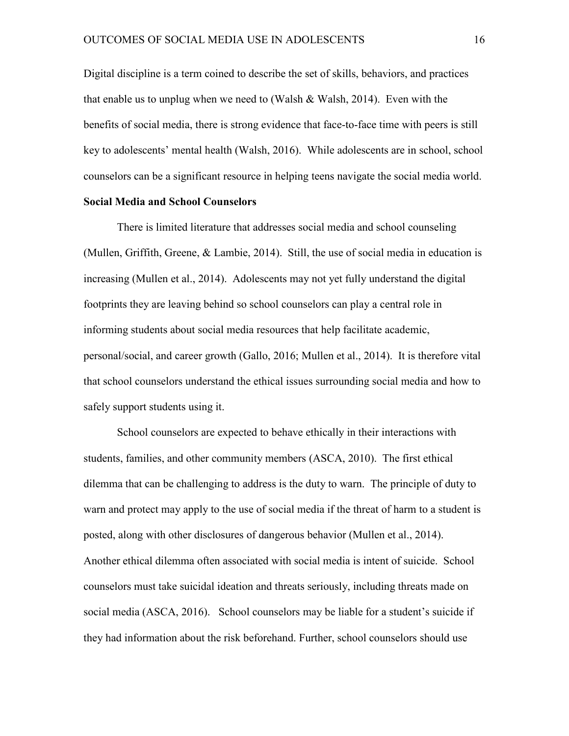Digital discipline is a term coined to describe the set of skills, behaviors, and practices that enable us to unplug when we need to (Walsh  $&$  Walsh, 2014). Even with the benefits of social media, there is strong evidence that face-to-face time with peers is still key to adolescents' mental health (Walsh, 2016). While adolescents are in school, school counselors can be a significant resource in helping teens navigate the social media world.

# **Social Media and School Counselors**

There is limited literature that addresses social media and school counseling (Mullen, Griffith, Greene, & Lambie, 2014). Still, the use of social media in education is increasing (Mullen et al., 2014). Adolescents may not yet fully understand the digital footprints they are leaving behind so school counselors can play a central role in informing students about social media resources that help facilitate academic, personal/social, and career growth (Gallo, 2016; Mullen et al., 2014). It is therefore vital that school counselors understand the ethical issues surrounding social media and how to safely support students using it.

 School counselors are expected to behave ethically in their interactions with students, families, and other community members (ASCA, 2010). The first ethical dilemma that can be challenging to address is the duty to warn. The principle of duty to warn and protect may apply to the use of social media if the threat of harm to a student is posted, along with other disclosures of dangerous behavior (Mullen et al., 2014). Another ethical dilemma often associated with social media is intent of suicide. School counselors must take suicidal ideation and threats seriously, including threats made on social media (ASCA, 2016). School counselors may be liable for a student's suicide if they had information about the risk beforehand. Further, school counselors should use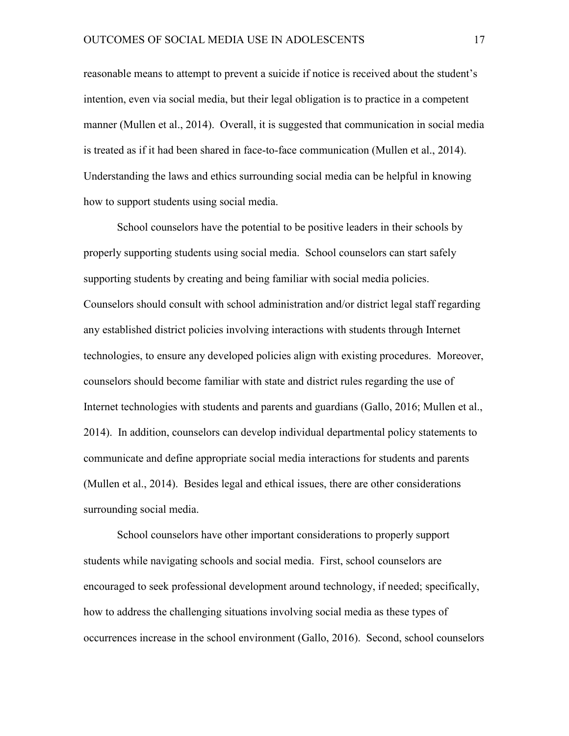reasonable means to attempt to prevent a suicide if notice is received about the student's intention, even via social media, but their legal obligation is to practice in a competent manner (Mullen et al., 2014). Overall, it is suggested that communication in social media is treated as if it had been shared in face-to-face communication (Mullen et al., 2014). Understanding the laws and ethics surrounding social media can be helpful in knowing how to support students using social media.

School counselors have the potential to be positive leaders in their schools by properly supporting students using social media. School counselors can start safely supporting students by creating and being familiar with social media policies. Counselors should consult with school administration and/or district legal staff regarding any established district policies involving interactions with students through Internet technologies, to ensure any developed policies align with existing procedures. Moreover, counselors should become familiar with state and district rules regarding the use of Internet technologies with students and parents and guardians (Gallo, 2016; Mullen et al., 2014). In addition, counselors can develop individual departmental policy statements to communicate and define appropriate social media interactions for students and parents (Mullen et al., 2014). Besides legal and ethical issues, there are other considerations surrounding social media.

School counselors have other important considerations to properly support students while navigating schools and social media. First, school counselors are encouraged to seek professional development around technology, if needed; specifically, how to address the challenging situations involving social media as these types of occurrences increase in the school environment (Gallo, 2016). Second, school counselors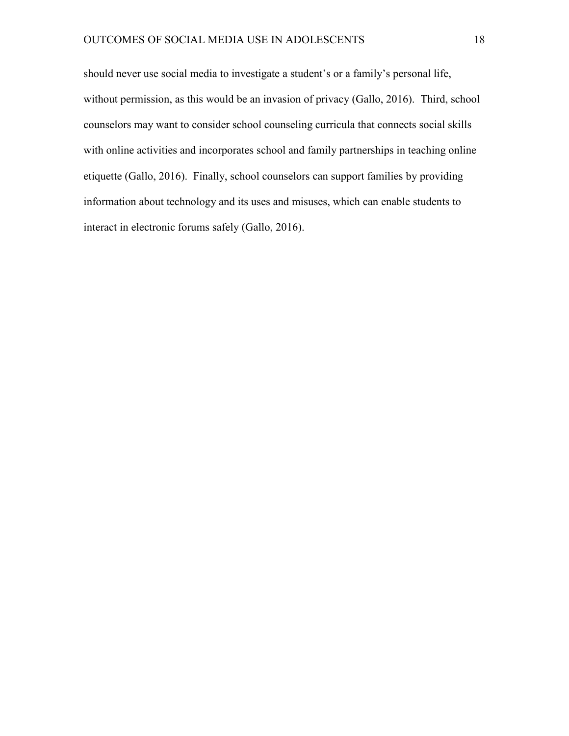should never use social media to investigate a student's or a family's personal life, without permission, as this would be an invasion of privacy (Gallo, 2016). Third, school counselors may want to consider school counseling curricula that connects social skills with online activities and incorporates school and family partnerships in teaching online etiquette (Gallo, 2016). Finally, school counselors can support families by providing information about technology and its uses and misuses, which can enable students to interact in electronic forums safely (Gallo, 2016).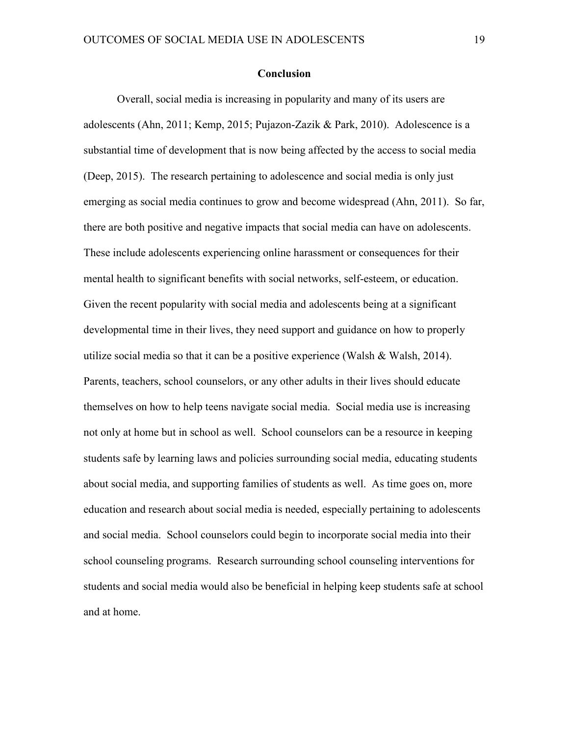#### **Conclusion**

Overall, social media is increasing in popularity and many of its users are adolescents (Ahn, 2011; Kemp, 2015; Pujazon-Zazik & Park, 2010). Adolescence is a substantial time of development that is now being affected by the access to social media (Deep, 2015). The research pertaining to adolescence and social media is only just emerging as social media continues to grow and become widespread (Ahn, 2011). So far, there are both positive and negative impacts that social media can have on adolescents. These include adolescents experiencing online harassment or consequences for their mental health to significant benefits with social networks, self-esteem, or education. Given the recent popularity with social media and adolescents being at a significant developmental time in their lives, they need support and guidance on how to properly utilize social media so that it can be a positive experience (Walsh & Walsh, 2014). Parents, teachers, school counselors, or any other adults in their lives should educate themselves on how to help teens navigate social media. Social media use is increasing not only at home but in school as well. School counselors can be a resource in keeping students safe by learning laws and policies surrounding social media, educating students about social media, and supporting families of students as well. As time goes on, more education and research about social media is needed, especially pertaining to adolescents and social media. School counselors could begin to incorporate social media into their school counseling programs. Research surrounding school counseling interventions for students and social media would also be beneficial in helping keep students safe at school and at home.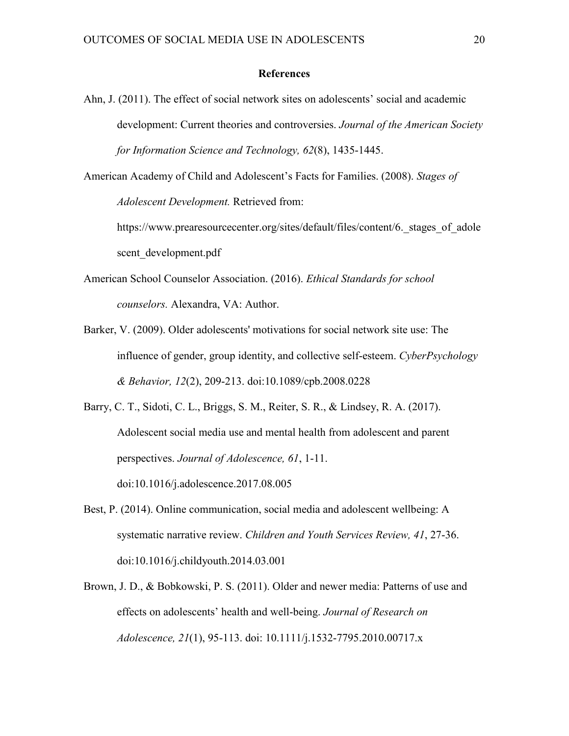### **References**

- Ahn, J. (2011). The effect of social network sites on adolescents' social and academic development: Current theories and controversies. *Journal of the American Society for Information Science and Technology, 62*(8), 1435-1445.
- American Academy of Child and Adolescent's Facts for Families. (2008). *Stages of Adolescent Development.* Retrieved from:

https://www.prearesourcecenter.org/sites/default/files/content/6. stages of adole scent\_development.pdf

- American School Counselor Association. (2016). *Ethical Standards for school counselors.* Alexandra, VA: Author.
- Barker, V. (2009). Older adolescents' motivations for social network site use: The influence of gender, group identity, and collective self-esteem. *CyberPsychology & Behavior, 12*(2), 209-213. doi:10.1089/cpb.2008.0228

Barry, C. T., Sidoti, C. L., Briggs, S. M., Reiter, S. R., & Lindsey, R. A. (2017). Adolescent social media use and mental health from adolescent and parent perspectives. *Journal of Adolescence, 61*, 1-11. doi:10.1016/j.adolescence.2017.08.005

- Best, P. (2014). Online communication, social media and adolescent wellbeing: A systematic narrative review. *Children and Youth Services Review, 41*, 27-36. doi:10.1016/j.childyouth.2014.03.001
- Brown, J. D., & Bobkowski, P. S. (2011). Older and newer media: Patterns of use and effects on adolescents' health and well-being. *Journal of Research on Adolescence, 21*(1), 95-113. doi: 10.1111/j.1532-7795.2010.00717.x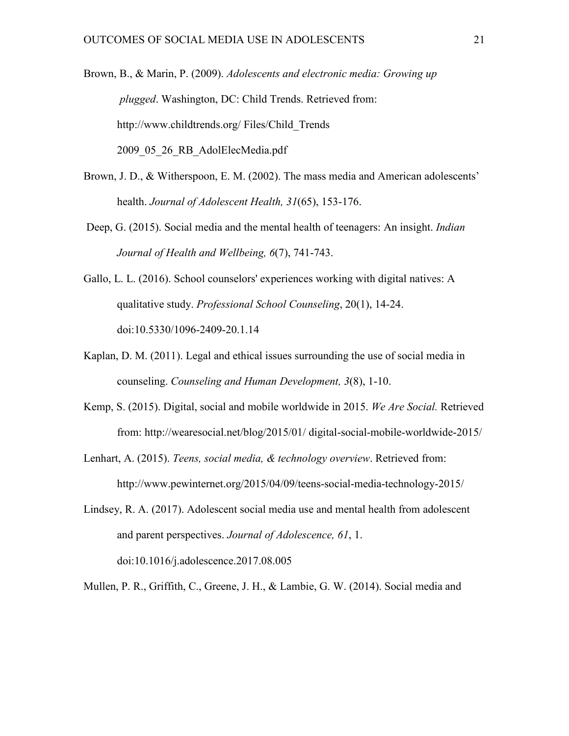Brown, B., & Marin, P. (2009). *Adolescents and electronic media: Growing up plugged*. Washington, DC: Child Trends. Retrieved from: http://www.childtrends.org/ Files/Child\_Trends 2009\_05\_26\_RB\_AdolElecMedia.pdf

- Brown, J. D., & Witherspoon, E. M. (2002). The mass media and American adolescents' health. *Journal of Adolescent Health, 31*(65), 153-176.
- Deep, G. (2015). Social media and the mental health of teenagers: An insight. *Indian Journal of Health and Wellbeing, 6*(7), 741-743.
- Gallo, L. L. (2016). School counselors' experiences working with digital natives: A qualitative study. *Professional School Counseling*, 20(1), 14-24. doi:10.5330/1096-2409-20.1.14
- Kaplan, D. M. (2011). Legal and ethical issues surrounding the use of social media in counseling. *Counseling and Human Development, 3*(8), 1-10.
- Kemp, S. (2015). Digital, social and mobile worldwide in 2015. *We Are Social.* Retrieved from: http://wearesocial.net/blog/2015/01/ digital-social-mobile-worldwide-2015/
- Lenhart, A. (2015). *Teens, social media, & technology overview*. Retrieved from: http://www.pewinternet.org/2015/04/09/teens-social-media-technology-2015/
- Lindsey, R. A. (2017). Adolescent social media use and mental health from adolescent and parent perspectives. *Journal of Adolescence, 61*, 1. doi:10.1016/j.adolescence.2017.08.005

Mullen, P. R., Griffith, C., Greene, J. H., & Lambie, G. W. (2014). Social media and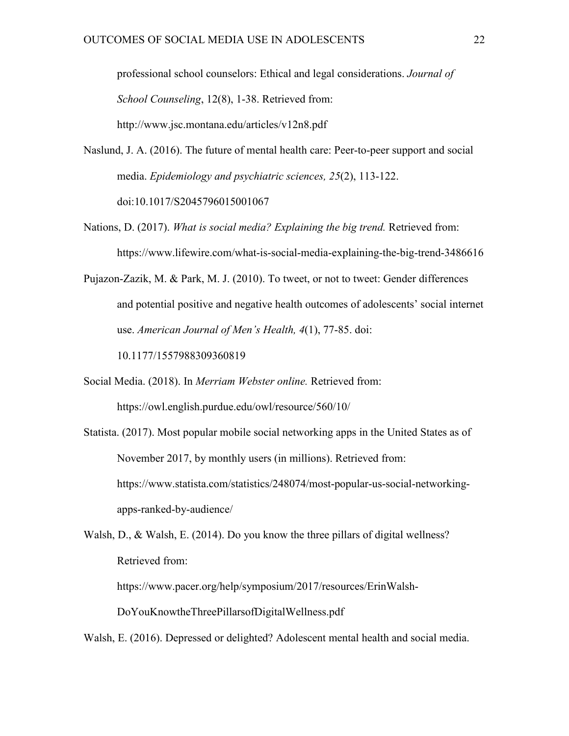professional school counselors: Ethical and legal considerations. *Journal of School Counseling*, 12(8), 1-38. Retrieved from: http://www.jsc.montana.edu/articles/v12n8.pdf

- Naslund, J. A. (2016). The future of mental health care: Peer-to-peer support and social media. *Epidemiology and psychiatric sciences, 25*(2), 113-122. doi:10.1017/S2045796015001067
- Nations, D. (2017). *What is social media? Explaining the big trend.* Retrieved from: https://www.lifewire.com/what-is-social-media-explaining-the-big-trend-3486616
- Pujazon-Zazik, M. & Park, M. J. (2010). To tweet, or not to tweet: Gender differences and potential positive and negative health outcomes of adolescents' social internet use. *American Journal of Men's Health, 4*(1), 77-85. doi: 10.1177/1557988309360819
- Social Media. (2018). In *Merriam Webster online.* Retrieved from: https://owl.english.purdue.edu/owl/resource/560/10/
- Statista. (2017). Most popular mobile social networking apps in the United States as of November 2017, by monthly users (in millions). Retrieved from: https://www.statista.com/statistics/248074/most-popular-us-social-networkingapps-ranked-by-audience/
- Walsh, D., & Walsh, E. (2014). Do you know the three pillars of digital wellness? Retrieved from:

https://www.pacer.org/help/symposium/2017/resources/ErinWalsh-

DoYouKnowtheThreePillarsofDigitalWellness.pdf

Walsh, E. (2016). Depressed or delighted? Adolescent mental health and social media.